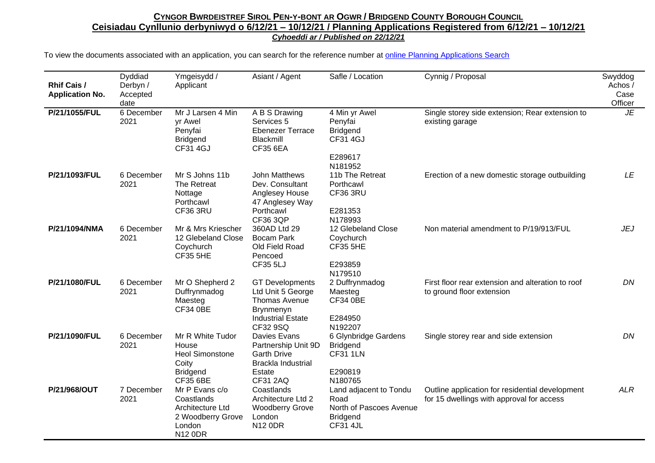| <b>Rhif Cais /</b><br><b>Application No.</b> | Dyddiad<br>Derbyn /<br>Accepted<br>date | Ymgeisydd /<br>Applicant                                                                           | Asiant / Agent                                                                                                    | Safle / Location                                                                                | Cynnig / Proposal                                                                            | Swyddog<br>Achos/<br>Case<br>Officer |
|----------------------------------------------|-----------------------------------------|----------------------------------------------------------------------------------------------------|-------------------------------------------------------------------------------------------------------------------|-------------------------------------------------------------------------------------------------|----------------------------------------------------------------------------------------------|--------------------------------------|
| P/21/1055/FUL                                | 6 December<br>2021                      | Mr J Larsen 4 Min<br>yr Awel<br>Penyfai<br><b>Bridgend</b><br><b>CF31 4GJ</b>                      | A B S Drawing<br>Services 5<br><b>Ebenezer Terrace</b><br>Blackmill<br><b>CF35 6EA</b>                            | 4 Min yr Awel<br>Penyfai<br><b>Bridgend</b><br><b>CF31 4GJ</b><br>E289617<br>N181952            | Single storey side extension; Rear extension to<br>existing garage                           | <b>JE</b>                            |
| P/21/1093/FUL                                | 6 December<br>2021                      | Mr S Johns 11b<br>The Retreat<br>Nottage<br>Porthcawl<br>CF36 3RU                                  | John Matthews<br>Dev. Consultant<br>Anglesey House<br>47 Anglesey Way<br>Porthcawl<br><b>CF36 3QP</b>             | 11b The Retreat<br>Porthcawl<br>CF36 3RU<br>E281353<br>N178993                                  | Erection of a new domestic storage outbuilding                                               | LE                                   |
| P/21/1094/NMA                                | 6 December<br>2021                      | Mr & Mrs Kriescher<br>12 Glebeland Close<br>Coychurch<br><b>CF35 5HE</b>                           | 360AD Ltd 29<br><b>Bocam Park</b><br>Old Field Road<br>Pencoed<br><b>CF35 5LJ</b>                                 | 12 Glebeland Close<br>Coychurch<br><b>CF35 5HE</b><br>E293859<br>N179510                        | Non material amendment to P/19/913/FUL                                                       | JEJ                                  |
| P/21/1080/FUL                                | 6 December<br>2021                      | Mr O Shepherd 2<br>Duffrynmadog<br>Maesteg<br><b>CF34 0BE</b>                                      | <b>GT</b> Developments<br>Ltd Unit 5 George<br>Thomas Avenue<br>Brynmenyn<br><b>Industrial Estate</b><br>CF32 9SQ | 2 Duffrynmadog<br>Maesteg<br><b>CF34 0BE</b><br>E284950<br>N192207                              | First floor rear extension and alteration to roof<br>to ground floor extension               | DN                                   |
| P/21/1090/FUL                                | 6 December<br>2021                      | Mr R White Tudor<br>House<br><b>Heol Simonstone</b><br>Coity<br><b>Bridgend</b><br><b>CF35 6BE</b> | Davies Evans<br>Partnership Unit 9D<br><b>Garth Drive</b><br>Brackla Industrial<br>Estate<br><b>CF31 2AQ</b>      | 6 Glynbridge Gardens<br><b>Bridgend</b><br><b>CF31 1LN</b><br>E290819<br>N180765                | Single storey rear and side extension                                                        | DN                                   |
| P/21/968/OUT                                 | 7 December<br>2021                      | Mr P Evans c/o<br>Coastlands<br>Architecture Ltd<br>2 Woodberry Grove<br>London<br><b>N12 0DR</b>  | Coastlands<br>Architecture Ltd 2<br><b>Woodberry Grove</b><br>London<br><b>N12 0DR</b>                            | Land adjacent to Tondu<br>Road<br>North of Pascoes Avenue<br><b>Bridgend</b><br><b>CF31 4JL</b> | Outline application for residential development<br>for 15 dwellings with approval for access | <b>ALR</b>                           |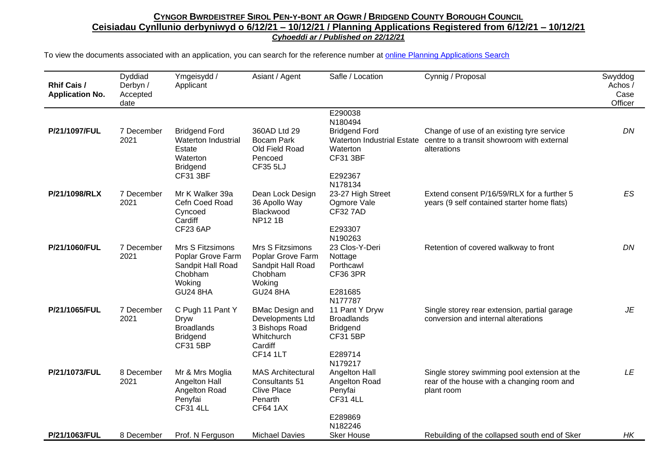| <b>Rhif Cais /</b><br><b>Application No.</b> | Dyddiad<br>Derbyn /<br>Accepted<br>date | Ymgeisydd /<br>Applicant                                                                                              | Asiant / Agent                                                                                           | Safle / Location                                                                                                          | Cynnig / Proposal                                                                                        | Swyddog<br>Achos /<br>Case<br>Officer |
|----------------------------------------------|-----------------------------------------|-----------------------------------------------------------------------------------------------------------------------|----------------------------------------------------------------------------------------------------------|---------------------------------------------------------------------------------------------------------------------------|----------------------------------------------------------------------------------------------------------|---------------------------------------|
| P/21/1097/FUL                                | 7 December<br>2021                      | <b>Bridgend Ford</b><br>Waterton Industrial<br>Estate<br>Waterton<br><b>Bridgend</b><br><b>CF31 3BF</b>               | 360AD Ltd 29<br><b>Bocam Park</b><br>Old Field Road<br>Pencoed<br><b>CF35 5LJ</b>                        | E290038<br>N180494<br><b>Bridgend Ford</b><br><b>Waterton Industrial Estate</b><br>Waterton<br><b>CF31 3BF</b><br>E292367 | Change of use of an existing tyre service<br>centre to a transit showroom with external<br>alterations   | DN                                    |
| P/21/1098/RLX                                | 7 December<br>2021                      | Mr K Walker 39a<br>Cefn Coed Road<br>Cyncoed<br>Cardiff                                                               | Dean Lock Design<br>36 Apollo Way<br>Blackwood<br><b>NP121B</b>                                          | N178134<br>23-27 High Street<br>Ogmore Vale<br><b>CF32 7AD</b>                                                            | Extend consent P/16/59/RLX for a further 5<br>years (9 self contained starter home flats)                | ES                                    |
| P/21/1060/FUL                                | 7 December<br>2021                      | <b>CF23 6AP</b><br>Mrs S Fitzsimons<br>Poplar Grove Farm<br>Sandpit Hall Road<br>Chobham<br>Woking<br><b>GU24 8HA</b> | Mrs S Fitzsimons<br>Poplar Grove Farm<br>Sandpit Hall Road<br>Chobham<br>Woking<br><b>GU24 8HA</b>       | E293307<br>N190263<br>23 Clos-Y-Deri<br>Nottage<br>Porthcawl<br><b>CF36 3PR</b><br>E281685                                | Retention of covered walkway to front                                                                    | DN                                    |
| P/21/1065/FUL                                | 7 December<br>2021                      | C Pugh 11 Pant Y<br>Dryw<br><b>Broadlands</b><br><b>Bridgend</b><br><b>CF31 5BP</b>                                   | <b>BMac Design and</b><br>Developments Ltd<br>3 Bishops Road<br>Whitchurch<br>Cardiff<br><b>CF14 1LT</b> | N177787<br>11 Pant Y Dryw<br><b>Broadlands</b><br><b>Bridgend</b><br><b>CF31 5BP</b><br>E289714<br>N179217                | Single storey rear extension, partial garage<br>conversion and internal alterations                      | JE                                    |
| P/21/1073/FUL                                | 8 December<br>2021                      | Mr & Mrs Moglia<br>Angelton Hall<br>Angelton Road<br>Penyfai<br><b>CF31 4LL</b>                                       | <b>MAS Architectural</b><br>Consultants 51<br><b>Clive Place</b><br>Penarth<br><b>CF64 1AX</b>           | Angelton Hall<br>Angelton Road<br>Penyfai<br><b>CF31 4LL</b>                                                              | Single storey swimming pool extension at the<br>rear of the house with a changing room and<br>plant room | LE                                    |
| P/21/1063/FUL                                | 8 December                              | Prof. N Ferguson                                                                                                      | <b>Michael Davies</b>                                                                                    | E289869<br>N182246<br><b>Sker House</b>                                                                                   | Rebuilding of the collapsed south end of Sker                                                            | НK                                    |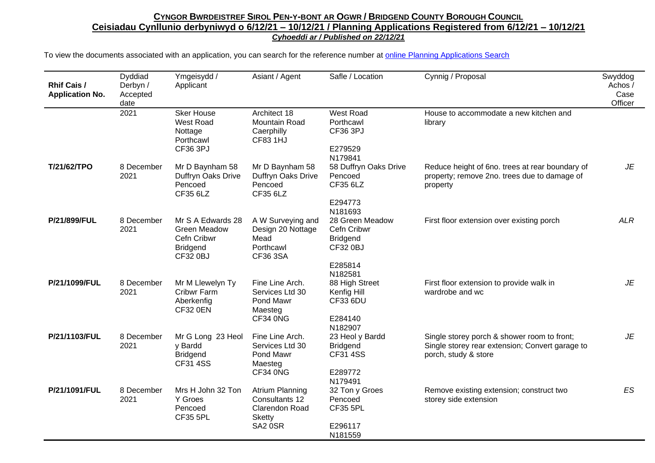| <b>Rhif Cais /</b><br><b>Application No.</b> | Dyddiad<br>Derbyn /<br>Accepted<br>date | Ymgeisydd /<br>Applicant                                                               | Asiant / Agent                                                                                | Safle / Location                                                                           | Cynnig / Proposal                                                                                                      | Swyddog<br>Achos /<br>Case<br>Officer |
|----------------------------------------------|-----------------------------------------|----------------------------------------------------------------------------------------|-----------------------------------------------------------------------------------------------|--------------------------------------------------------------------------------------------|------------------------------------------------------------------------------------------------------------------------|---------------------------------------|
|                                              | 2021                                    | <b>Sker House</b><br>West Road<br>Nottage<br>Porthcawl<br>CF36 3PJ                     | Architect 18<br>Mountain Road<br>Caerphilly<br><b>CF83 1HJ</b>                                | West Road<br>Porthcawl<br>CF36 3PJ<br>E279529                                              | House to accommodate a new kitchen and<br>library                                                                      |                                       |
| T/21/62/TPO                                  | 8 December<br>2021                      | Mr D Baynham 58<br>Duffryn Oaks Drive<br>Pencoed<br>CF35 6LZ                           | Mr D Baynham 58<br>Duffryn Oaks Drive<br>Pencoed<br>CF35 6LZ                                  | N179841<br>58 Duffryn Oaks Drive<br>Pencoed<br>CF35 6LZ<br>E294773<br>N181693              | Reduce height of 6no. trees at rear boundary of<br>property; remove 2no. trees due to damage of<br>property            | JE                                    |
| P/21/899/FUL                                 | 8 December<br>2021                      | Mr S A Edwards 28<br><b>Green Meadow</b><br>Cefn Cribwr<br><b>Bridgend</b><br>CF32 0BJ | A W Surveying and<br>Design 20 Nottage<br>Mead<br>Porthcawl<br>CF36 3SA                       | 28 Green Meadow<br>Cefn Cribwr<br><b>Bridgend</b><br><b>CF32 0BJ</b><br>E285814<br>N182581 | First floor extension over existing porch                                                                              | <b>ALR</b>                            |
| P/21/1099/FUL                                | 8 December<br>2021                      | Mr M Llewelyn Ty<br>Cribwr Farm<br>Aberkenfig<br><b>CF32 0EN</b>                       | Fine Line Arch.<br>Services Ltd 30<br>Pond Mawr<br>Maesteg<br>CF34 0NG                        | 88 High Street<br>Kenfig Hill<br><b>CF33 6DU</b><br>E284140<br>N182907                     | First floor extension to provide walk in<br>wardrobe and wc                                                            | JE                                    |
| P/21/1103/FUL                                | 8 December<br>2021                      | Mr G Long 23 Heol<br>y Bardd<br><b>Bridgend</b><br><b>CF31 4SS</b>                     | Fine Line Arch.<br>Services Ltd 30<br>Pond Mawr<br>Maesteg<br>CF34 0NG                        | 23 Heol y Bardd<br><b>Bridgend</b><br>CF31 4SS<br>E289772<br>N179491                       | Single storey porch & shower room to front;<br>Single storey rear extension; Convert garage to<br>porch, study & store | JE                                    |
| P/21/1091/FUL                                | 8 December<br>2021                      | Mrs H John 32 Ton<br>Y Groes<br>Pencoed<br><b>CF35 5PL</b>                             | <b>Atrium Planning</b><br>Consultants 12<br><b>Clarendon Road</b><br><b>Sketty</b><br>SA2 0SR | 32 Ton y Groes<br>Pencoed<br><b>CF35 5PL</b><br>E296117<br>N181559                         | Remove existing extension; construct two<br>storey side extension                                                      | ES                                    |